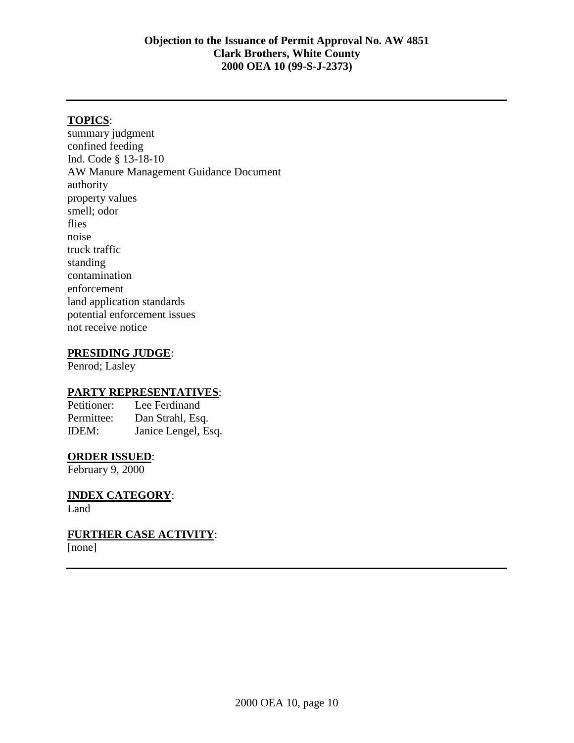## **TOPICS**:

summary judgment confined feeding Ind. Code § 13-18-10 AW Manure Management Guidance Document authority property values smell; odor flies noise truck traffic standing contamination enforcement land application standards potential enforcement issues not receive notice

### **PRESIDING JUDGE**:

Penrod; Lasley

### **PARTY REPRESENTATIVES**:

Petitioner: Lee Ferdinand Permittee: Dan Strahl, Esq. IDEM: Janice Lengel, Esq.

#### **ORDER ISSUED**:

February 9, 2000

**INDEX CATEGORY**: Land

**FURTHER CASE ACTIVITY**: [none]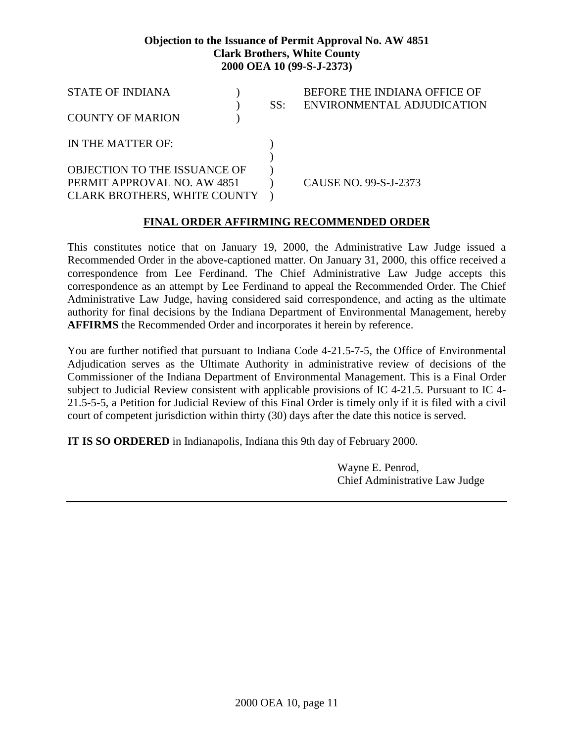| <b>STATE OF INDIANA</b>             |  | SS: | BEFORE THE INDIANA OFFICE OF<br>ENVIRONMENTAL ADJUDICATION |
|-------------------------------------|--|-----|------------------------------------------------------------|
| <b>COUNTY OF MARION</b>             |  |     |                                                            |
| IN THE MATTER OF:                   |  |     |                                                            |
|                                     |  |     |                                                            |
| <b>OBJECTION TO THE ISSUANCE OF</b> |  |     |                                                            |
| PERMIT APPROVAL NO. AW 4851         |  |     | CAUSE NO. 99-S-J-2373                                      |
| <b>CLARK BROTHERS, WHITE COUNTY</b> |  |     |                                                            |

# **FINAL ORDER AFFIRMING RECOMMENDED ORDER**

This constitutes notice that on January 19, 2000, the Administrative Law Judge issued a Recommended Order in the above-captioned matter. On January 31, 2000, this office received a correspondence from Lee Ferdinand. The Chief Administrative Law Judge accepts this correspondence as an attempt by Lee Ferdinand to appeal the Recommended Order. The Chief Administrative Law Judge, having considered said correspondence, and acting as the ultimate authority for final decisions by the Indiana Department of Environmental Management, hereby **AFFIRMS** the Recommended Order and incorporates it herein by reference.

You are further notified that pursuant to Indiana Code 4-21.5-7-5, the Office of Environmental Adjudication serves as the Ultimate Authority in administrative review of decisions of the Commissioner of the Indiana Department of Environmental Management. This is a Final Order subject to Judicial Review consistent with applicable provisions of IC 4-21.5. Pursuant to IC 4- 21.5-5-5, a Petition for Judicial Review of this Final Order is timely only if it is filed with a civil court of competent jurisdiction within thirty (30) days after the date this notice is served.

**IT IS SO ORDERED** in Indianapolis, Indiana this 9th day of February 2000.

Wayne E. Penrod, Chief Administrative Law Judge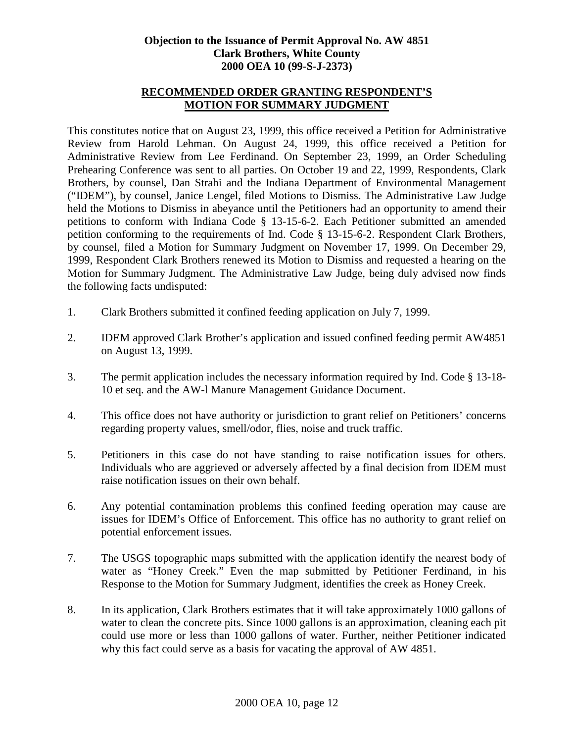# **RECOMMENDED ORDER GRANTING RESPONDENT'S MOTION FOR SUMMARY JUDGMENT**

This constitutes notice that on August 23, 1999, this office received a Petition for Administrative Review from Harold Lehman. On August 24, 1999, this office received a Petition for Administrative Review from Lee Ferdinand. On September 23, 1999, an Order Scheduling Prehearing Conference was sent to all parties. On October 19 and 22, 1999, Respondents, Clark Brothers, by counsel, Dan Strahi and the Indiana Department of Environmental Management ("IDEM"), by counsel, Janice Lengel, filed Motions to Dismiss. The Administrative Law Judge held the Motions to Dismiss in abeyance until the Petitioners had an opportunity to amend their petitions to conform with Indiana Code § 13-15-6-2. Each Petitioner submitted an amended petition conforming to the requirements of Ind. Code § 13-15-6-2. Respondent Clark Brothers, by counsel, filed a Motion for Summary Judgment on November 17, 1999. On December 29, 1999, Respondent Clark Brothers renewed its Motion to Dismiss and requested a hearing on the Motion for Summary Judgment. The Administrative Law Judge, being duly advised now finds the following facts undisputed:

- 1. Clark Brothers submitted it confined feeding application on July 7, 1999.
- 2. IDEM approved Clark Brother's application and issued confined feeding permit AW4851 on August 13, 1999.
- 3. The permit application includes the necessary information required by Ind. Code § 13-18- 10 et seq. and the AW-l Manure Management Guidance Document.
- 4. This office does not have authority or jurisdiction to grant relief on Petitioners' concerns regarding property values, smell/odor, flies, noise and truck traffic.
- 5. Petitioners in this case do not have standing to raise notification issues for others. Individuals who are aggrieved or adversely affected by a final decision from IDEM must raise notification issues on their own behalf.
- 6. Any potential contamination problems this confined feeding operation may cause are issues for IDEM's Office of Enforcement. This office has no authority to grant relief on potential enforcement issues.
- 7. The USGS topographic maps submitted with the application identify the nearest body of water as "Honey Creek." Even the map submitted by Petitioner Ferdinand, in his Response to the Motion for Summary Judgment, identifies the creek as Honey Creek.
- 8. In its application, Clark Brothers estimates that it will take approximately 1000 gallons of water to clean the concrete pits. Since 1000 gallons is an approximation, cleaning each pit could use more or less than 1000 gallons of water. Further, neither Petitioner indicated why this fact could serve as a basis for vacating the approval of AW 4851.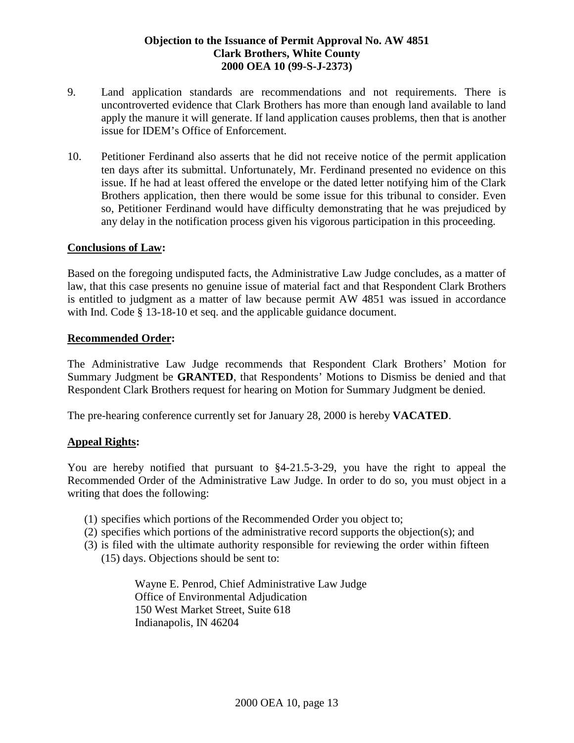- 9. Land application standards are recommendations and not requirements. There is uncontroverted evidence that Clark Brothers has more than enough land available to land apply the manure it will generate. If land application causes problems, then that is another issue for IDEM's Office of Enforcement.
- 10. Petitioner Ferdinand also asserts that he did not receive notice of the permit application ten days after its submittal. Unfortunately, Mr. Ferdinand presented no evidence on this issue. If he had at least offered the envelope or the dated letter notifying him of the Clark Brothers application, then there would be some issue for this tribunal to consider. Even so, Petitioner Ferdinand would have difficulty demonstrating that he was prejudiced by any delay in the notification process given his vigorous participation in this proceeding.

### **Conclusions of Law:**

Based on the foregoing undisputed facts, the Administrative Law Judge concludes, as a matter of law, that this case presents no genuine issue of material fact and that Respondent Clark Brothers is entitled to judgment as a matter of law because permit AW 4851 was issued in accordance with Ind. Code § 13-18-10 et seq. and the applicable guidance document.

### **Recommended Order:**

The Administrative Law Judge recommends that Respondent Clark Brothers' Motion for Summary Judgment be **GRANTED**, that Respondents' Motions to Dismiss be denied and that Respondent Clark Brothers request for hearing on Motion for Summary Judgment be denied.

The pre-hearing conference currently set for January 28, 2000 is hereby **VACATED**.

# **Appeal Rights:**

You are hereby notified that pursuant to \$4-21.5-3-29, you have the right to appeal the Recommended Order of the Administrative Law Judge. In order to do so, you must object in a writing that does the following:

- (1) specifies which portions of the Recommended Order you object to;
- (2) specifies which portions of the administrative record supports the objection(s); and
- (3) is filed with the ultimate authority responsible for reviewing the order within fifteen (15) days. Objections should be sent to:

Wayne E. Penrod, Chief Administrative Law Judge Office of Environmental Adjudication 150 West Market Street, Suite 618 Indianapolis, IN 46204